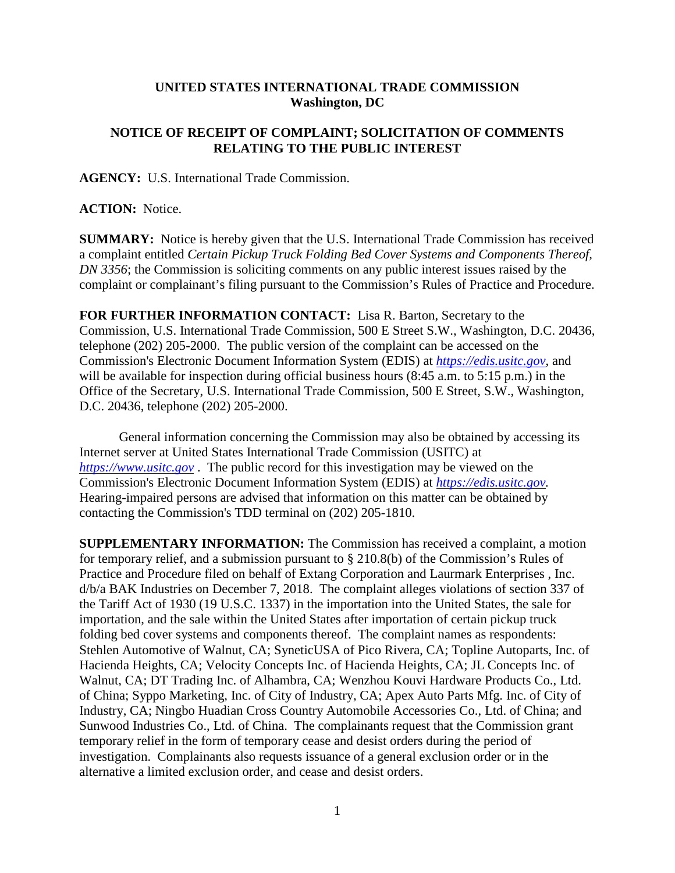## **UNITED STATES INTERNATIONAL TRADE COMMISSION Washington, DC**

## **NOTICE OF RECEIPT OF COMPLAINT; SOLICITATION OF COMMENTS RELATING TO THE PUBLIC INTEREST**

**AGENCY:** U.S. International Trade Commission.

## **ACTION:** Notice.

**SUMMARY:** Notice is hereby given that the U.S. International Trade Commission has received a complaint entitled *Certain Pickup Truck Folding Bed Cover Systems and Components Thereof, DN 3356*; the Commission is soliciting comments on any public interest issues raised by the complaint or complainant's filing pursuant to the Commission's Rules of Practice and Procedure.

**FOR FURTHER INFORMATION CONTACT:** Lisa R. Barton, Secretary to the Commission, U.S. International Trade Commission, 500 E Street S.W., Washington, D.C. 20436, telephone (202) 205-2000. The public version of the complaint can be accessed on the Commission's Electronic Document Information System (EDIS) at *[https://edis.usitc.gov](https://edis.usitc.gov/)*, and will be available for inspection during official business hours (8:45 a.m. to 5:15 p.m.) in the Office of the Secretary, U.S. International Trade Commission, 500 E Street, S.W., Washington, D.C. 20436, telephone (202) 205-2000.

General information concerning the Commission may also be obtained by accessing its Internet server at United States International Trade Commission (USITC) at *[https://www.usitc.gov](https://www.usitc.gov/)* . The public record for this investigation may be viewed on the Commission's Electronic Document Information System (EDIS) at *[https://edis.usitc.gov.](https://edis.usitc.gov/)* Hearing-impaired persons are advised that information on this matter can be obtained by contacting the Commission's TDD terminal on (202) 205-1810.

**SUPPLEMENTARY INFORMATION:** The Commission has received a complaint, a motion for temporary relief, and a submission pursuant to § 210.8(b) of the Commission's Rules of Practice and Procedure filed on behalf of Extang Corporation and Laurmark Enterprises , Inc. d/b/a BAK Industries on December 7, 2018. The complaint alleges violations of section 337 of the Tariff Act of 1930 (19 U.S.C. 1337) in the importation into the United States, the sale for importation, and the sale within the United States after importation of certain pickup truck folding bed cover systems and components thereof. The complaint names as respondents: Stehlen Automotive of Walnut, CA; SyneticUSA of Pico Rivera, CA; Topline Autoparts, Inc. of Hacienda Heights, CA; Velocity Concepts Inc. of Hacienda Heights, CA; JL Concepts Inc. of Walnut, CA; DT Trading Inc. of Alhambra, CA; Wenzhou Kouvi Hardware Products Co., Ltd. of China; Syppo Marketing, Inc. of City of Industry, CA; Apex Auto Parts Mfg. Inc. of City of Industry, CA; Ningbo Huadian Cross Country Automobile Accessories Co., Ltd. of China; and Sunwood Industries Co., Ltd. of China. The complainants request that the Commission grant temporary relief in the form of temporary cease and desist orders during the period of investigation. Complainants also requests issuance of a general exclusion order or in the alternative a limited exclusion order, and cease and desist orders.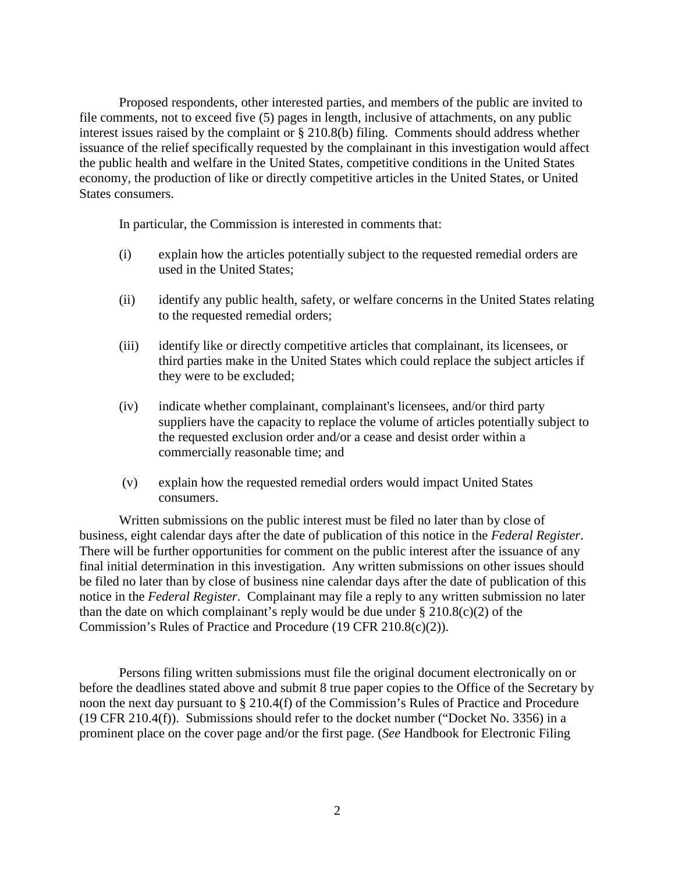Proposed respondents, other interested parties, and members of the public are invited to file comments, not to exceed five (5) pages in length, inclusive of attachments, on any public interest issues raised by the complaint or § 210.8(b) filing. Comments should address whether issuance of the relief specifically requested by the complainant in this investigation would affect the public health and welfare in the United States, competitive conditions in the United States economy, the production of like or directly competitive articles in the United States, or United States consumers.

In particular, the Commission is interested in comments that:

- (i) explain how the articles potentially subject to the requested remedial orders are used in the United States;
- (ii) identify any public health, safety, or welfare concerns in the United States relating to the requested remedial orders;
- (iii) identify like or directly competitive articles that complainant, its licensees, or third parties make in the United States which could replace the subject articles if they were to be excluded;
- (iv) indicate whether complainant, complainant's licensees, and/or third party suppliers have the capacity to replace the volume of articles potentially subject to the requested exclusion order and/or a cease and desist order within a commercially reasonable time; and
- (v) explain how the requested remedial orders would impact United States consumers.

Written submissions on the public interest must be filed no later than by close of business, eight calendar days after the date of publication of this notice in the *Federal Register*. There will be further opportunities for comment on the public interest after the issuance of any final initial determination in this investigation. Any written submissions on other issues should be filed no later than by close of business nine calendar days after the date of publication of this notice in the *Federal Register*. Complainant may file a reply to any written submission no later than the date on which complainant's reply would be due under  $\S 210.8(c)(2)$  of the Commission's Rules of Practice and Procedure (19 CFR 210.8(c)(2)).

Persons filing written submissions must file the original document electronically on or before the deadlines stated above and submit 8 true paper copies to the Office of the Secretary by noon the next day pursuant to § 210.4(f) of the Commission's Rules of Practice and Procedure (19 CFR 210.4(f)). Submissions should refer to the docket number ("Docket No. 3356) in a prominent place on the cover page and/or the first page. (*See* Handbook for Electronic Filing